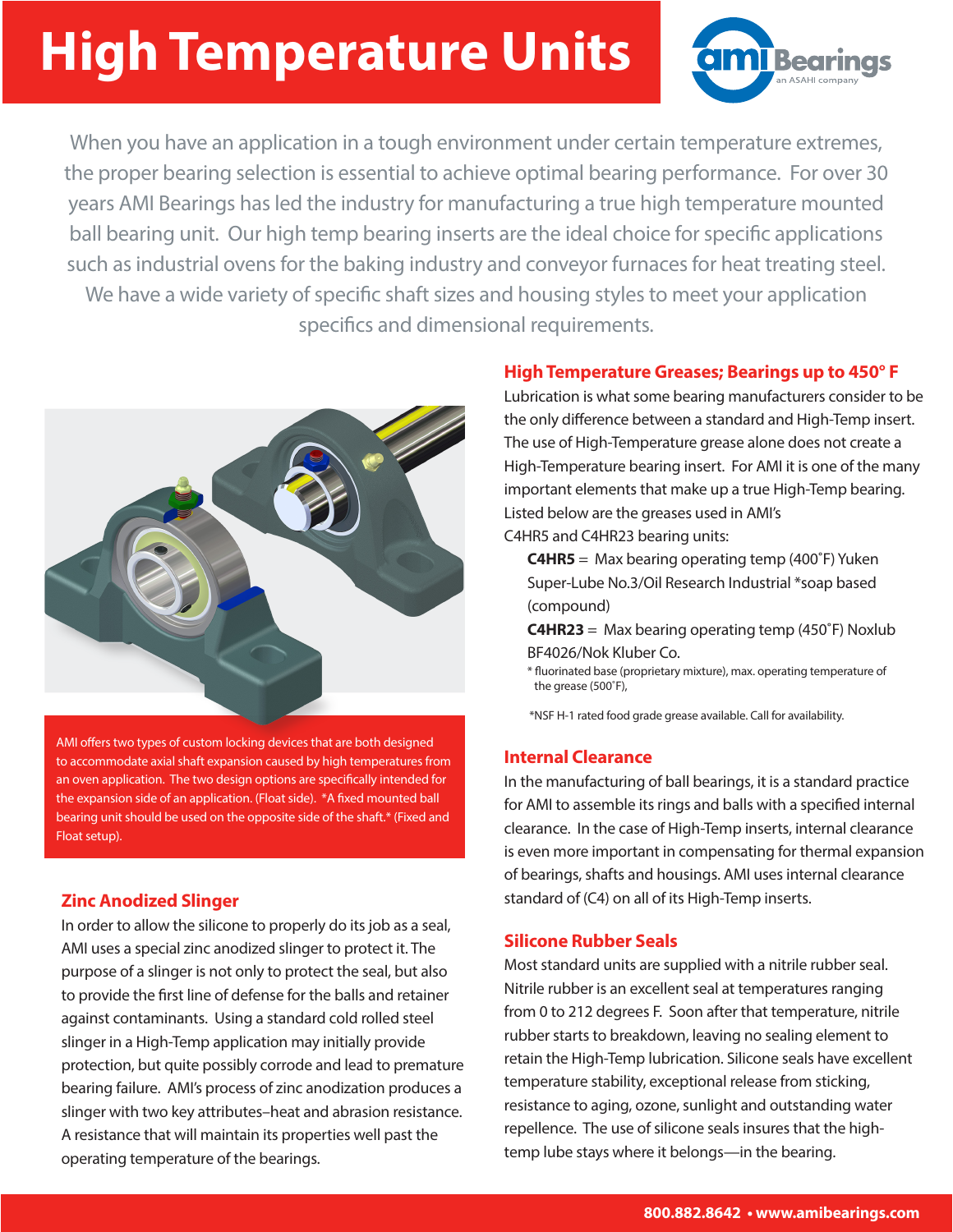# **High Temperature Units**



When you have an application in a tough environment under certain temperature extremes, the proper bearing selection is essential to achieve optimal bearing performance. For over 30 years AMI Bearings has led the industry for manufacturing a true high temperature mounted ball bearing unit. Our high temp bearing inserts are the ideal choice for specific applications such as industrial ovens for the baking industry and conveyor furnaces for heat treating steel. We have a wide variety of specific shaft sizes and housing styles to meet your application specifics and dimensional requirements.



AMI offers two types of custom locking devices that are both designed to accommodate axial shaft expansion caused by high temperatures from an oven application. The two design options are specifically intended for the expansion side of an application. (Float side). \*A fixed mounted ball bearing unit should be used on the opposite side of the shaft.\* (Fixed and Float setup).

### **Zinc Anodized Slinger**

In order to allow the silicone to properly do its job as a seal, AMI uses a special zinc anodized slinger to protect it. The purpose of a slinger is not only to protect the seal, but also to provide the first line of defense for the balls and retainer against contaminants. Using a standard cold rolled steel slinger in a High-Temp application may initially provide protection, but quite possibly corrode and lead to premature bearing failure. AMI's process of zinc anodization produces a slinger with two key attributes–heat and abrasion resistance. A resistance that will maintain its properties well past the operating temperature of the bearings.

#### **High Temperature Greases; Bearings up to 450° F**

Lubrication is what some bearing manufacturers consider to be the only difference between a standard and High-Temp insert. The use of High-Temperature grease alone does not create a High-Temperature bearing insert. For AMI it is one of the many important elements that make up a true High-Temp bearing. Listed below are the greases used in AMI's

C4HR5 and C4HR23 bearing units:

 **C4HR5** = Max bearing operating temp (400˚F) Yuken Super-Lube No.3/Oil Research Industrial \*soap based (compound)

 **C4HR23** = Max bearing operating temp (450˚F) Noxlub BF4026/Nok Kluber Co.

 \* fluorinated base (proprietary mixture), max. operating temperature of the grease (500˚F),

\*NSF H-1 rated food grade grease available. Call for availability.

#### **Internal Clearance**

In the manufacturing of ball bearings, it is a standard practice for AMI to assemble its rings and balls with a specified internal clearance. In the case of High-Temp inserts, internal clearance is even more important in compensating for thermal expansion of bearings, shafts and housings. AMI uses internal clearance standard of (C4) on all of its High-Temp inserts.

#### **Silicone Rubber Seals**

Most standard units are supplied with a nitrile rubber seal. Nitrile rubber is an excellent seal at temperatures ranging from 0 to 212 degrees F. Soon after that temperature, nitrile rubber starts to breakdown, leaving no sealing element to retain the High-Temp lubrication. Silicone seals have excellent temperature stability, exceptional release from sticking, resistance to aging, ozone, sunlight and outstanding water repellence. The use of silicone seals insures that the hightemp lube stays where it belongs—in the bearing.